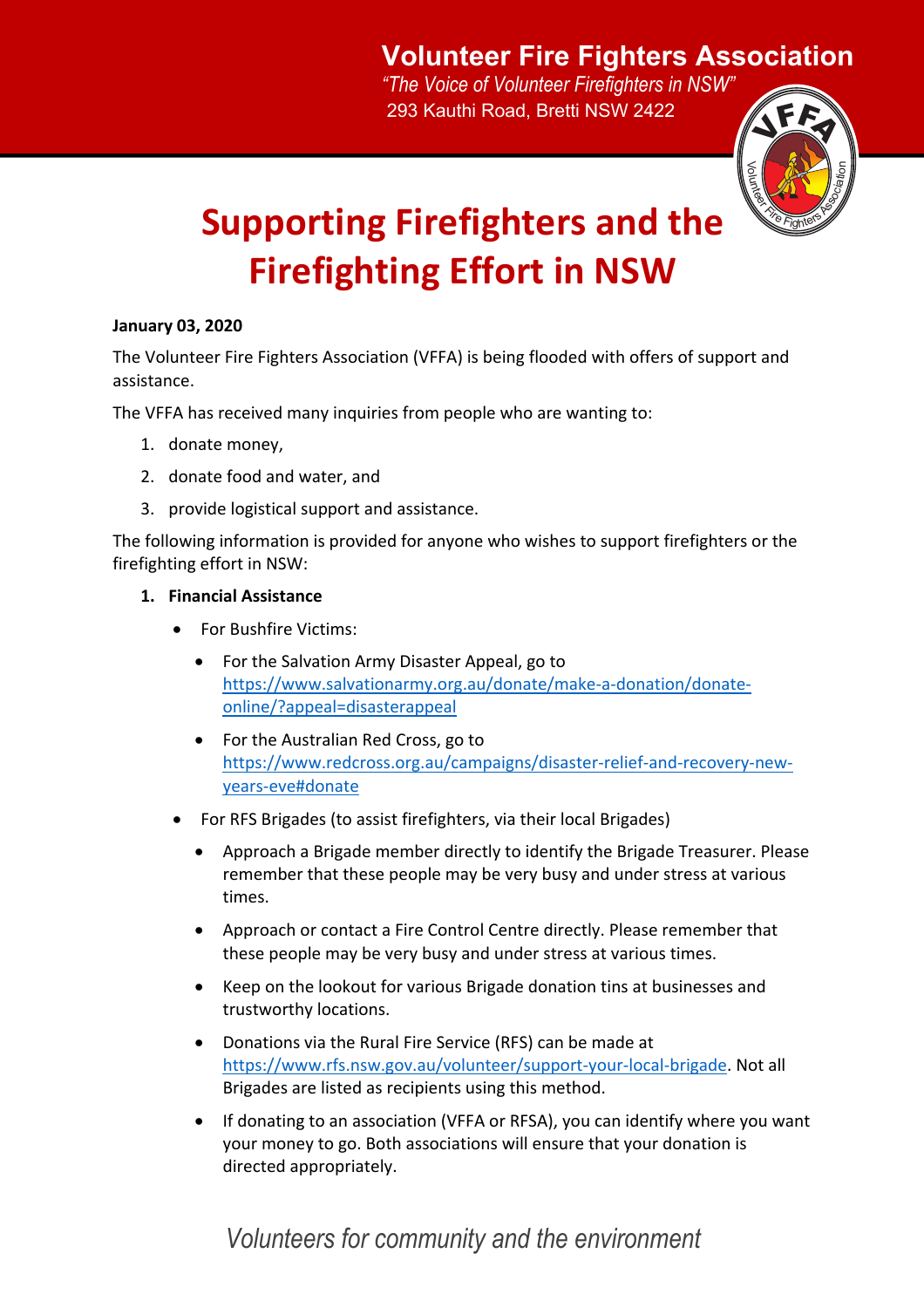## **Volunteer Fire Fighters Association**

*"The Voice of Volunteer Firefighters in NSW"* 293 Kauthi Road, Bretti NSW 2422



# **Supporting Firefighters and the Firefighting Effort in NSW**

#### **January 03, 2020**

The Volunteer Fire Fighters Association (VFFA) is being flooded with offers of support and assistance.

The VFFA has received many inquiries from people who are wanting to:

- 1. donate money,
- 2. donate food and water, and
- 3. provide logistical support and assistance.

The following information is provided for anyone who wishes to support firefighters or the firefighting effort in NSW:

#### **1. Financial Assistance**

- For Bushfire Victims:
	- For the Salvation Army Disaster Appeal, go to https://www.salvationarmy.org.au/donate/make-a-donation/donateonline/?appeal=disasterappeal
	- For the Australian Red Cross, go to https://www.redcross.org.au/campaigns/disaster-relief-and-recovery-newyears-eve#donate
- For RFS Brigades (to assist firefighters, via their local Brigades)
	- Approach a Brigade member directly to identify the Brigade Treasurer. Please remember that these people may be very busy and under stress at various times.
	- Approach or contact a Fire Control Centre directly. Please remember that these people may be very busy and under stress at various times.
	- Keep on the lookout for various Brigade donation tins at businesses and trustworthy locations.
	- Donations via the Rural Fire Service (RFS) can be made at https://www.rfs.nsw.gov.au/volunteer/support-your-local-brigade. Not all Brigades are listed as recipients using this method.
	- If donating to an association (VFFA or RFSA), you can identify where you want your money to go. Both associations will ensure that your donation is directed appropriately.

### *Volunteers for community and the environment*